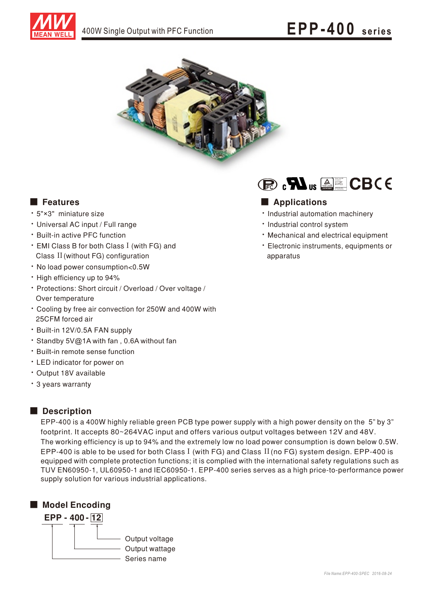



- 5"×3" miniature size
- Universal AC input / Full range
- Built-in active PFC function
- EMI Class B for both Class I (with FG) and Class II (without FG) configuration
- · No load power consumption<0.5W
- High efficiency up to 94%
- Protections: Short circuit / Overload / Over voltage / Over temperature
- Cooling by free air convection for 250W and 400W with 25CFM forced air
- Built-in 12V/0.5A FAN supply
- ‧Standby 5V@1A with fan , 0.6A without fan
- ‧Built-in remote sense function
- LED indicator for power on
- Output 18V available
- 3 years warranty

## Description

EPP-400 is a 400W highly reliable green PCB type power supply with a high power density on the 5" by 3" footprint. It accepts 80~264VAC input and offers various output voltages between 12V and 48V. The working efficiency is up to 94% and the extremely low no load power consumption is down below 0.5W. EPP-400 is able to be used for both Class I (with FG) and Class II (no FG) system design. EPP-400 is equipped with complete protection functions; it is complied with the international safety regulations such as TUV EN60950-1, UL60950-1 and IEC60950-1. EPP-400 series serves as a high price-to-performance power supply solution for various industrial applications.





### ■ Features ■ Particular and Particular and Particular and Particular and Particular and Particular and Particular and Particular and Particular and Particular and Particular and Particular and Particular and Particular an

- Industrial automation machinery
- · Industrial control system
- Mechanical and electrical equipment
- Electronic instruments, equipments or apparatus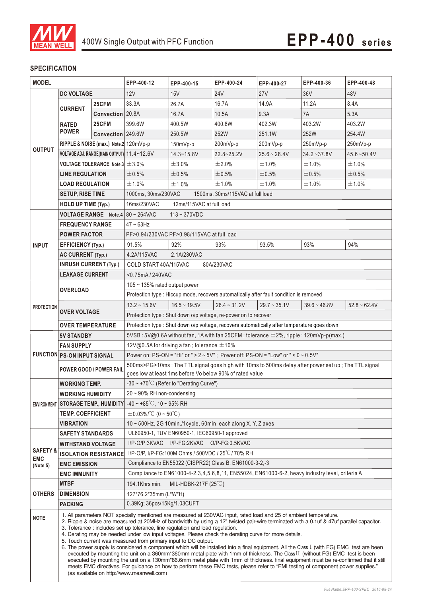

#### **SPECIFICATION**

| <b>MODEL</b>                                  |                                                                                                                                                                                                                                                                                                                                                                                                                                                                                                                                                                                                                                                                                                                                                                                                                                                                                                                                                                                                                                                                                                                                  | EPP-400-12                  | EPP-400-15                                                                                          | EPP-400-24                                              | EPP-400-27     | EPP-400-36                                                                             | EPP-400-48      |                |  |
|-----------------------------------------------|----------------------------------------------------------------------------------------------------------------------------------------------------------------------------------------------------------------------------------------------------------------------------------------------------------------------------------------------------------------------------------------------------------------------------------------------------------------------------------------------------------------------------------------------------------------------------------------------------------------------------------------------------------------------------------------------------------------------------------------------------------------------------------------------------------------------------------------------------------------------------------------------------------------------------------------------------------------------------------------------------------------------------------------------------------------------------------------------------------------------------------|-----------------------------|-----------------------------------------------------------------------------------------------------|---------------------------------------------------------|----------------|----------------------------------------------------------------------------------------|-----------------|----------------|--|
|                                               | <b>DC VOLTAGE</b>                                                                                                                                                                                                                                                                                                                                                                                                                                                                                                                                                                                                                                                                                                                                                                                                                                                                                                                                                                                                                                                                                                                |                             | 12V                                                                                                 | 15V                                                     | <b>24V</b>     | 27 <sub>V</sub>                                                                        | 36 <sub>V</sub> | 48V            |  |
|                                               |                                                                                                                                                                                                                                                                                                                                                                                                                                                                                                                                                                                                                                                                                                                                                                                                                                                                                                                                                                                                                                                                                                                                  | 25CFM                       | 33.3A                                                                                               | 26.7A                                                   | 16.7A          | 14.9A                                                                                  | 11.2A           | 8.4A           |  |
|                                               | <b>CURRENT</b>                                                                                                                                                                                                                                                                                                                                                                                                                                                                                                                                                                                                                                                                                                                                                                                                                                                                                                                                                                                                                                                                                                                   | Convection 20.8A            |                                                                                                     | 16.7A                                                   | 10.5A          | 9.3A                                                                                   | 7A              | 5.3A           |  |
|                                               | <b>RATED</b><br><b>POWER</b>                                                                                                                                                                                                                                                                                                                                                                                                                                                                                                                                                                                                                                                                                                                                                                                                                                                                                                                                                                                                                                                                                                     | 25CFM                       | 399.6W                                                                                              | 400.5W                                                  | 400.8W         | 402.3W                                                                                 | 403.2W          | 403.2W         |  |
|                                               |                                                                                                                                                                                                                                                                                                                                                                                                                                                                                                                                                                                                                                                                                                                                                                                                                                                                                                                                                                                                                                                                                                                                  | Convection 249.6W           |                                                                                                     | 250.5W                                                  | 252W           | 251.1W                                                                                 | 252W            | 254.4W         |  |
|                                               | RIPPLE & NOISE (max.) Note.2 120mVp-p                                                                                                                                                                                                                                                                                                                                                                                                                                                                                                                                                                                                                                                                                                                                                                                                                                                                                                                                                                                                                                                                                            |                             |                                                                                                     | $150mVp-p$                                              | 200mVp-p       | 200mVp-p                                                                               | 250mVp-p        | 250mVp-p       |  |
| <b>OUTPUT</b>                                 | VOLTAGE ADJ. RANGE(MAIN OUTPUT) 11.4~12.6V                                                                                                                                                                                                                                                                                                                                                                                                                                                                                                                                                                                                                                                                                                                                                                                                                                                                                                                                                                                                                                                                                       |                             |                                                                                                     | $14.3 - 15.8V$                                          | 22.8~25.2V     | $25.6 - 28.4V$                                                                         | $34.2 - 37.8V$  | $45.6 - 50.4V$ |  |
|                                               | <b>VOLTAGE TOLERANCE Note.3 <math>\pm</math> 3.0%</b>                                                                                                                                                                                                                                                                                                                                                                                                                                                                                                                                                                                                                                                                                                                                                                                                                                                                                                                                                                                                                                                                            |                             |                                                                                                     | ±3.0%                                                   | ±2.0%          | ±1.0%                                                                                  | ±1.0%           | ±1.0%          |  |
|                                               | <b>LINE REGULATION</b>                                                                                                                                                                                                                                                                                                                                                                                                                                                                                                                                                                                                                                                                                                                                                                                                                                                                                                                                                                                                                                                                                                           |                             | ±0.5%                                                                                               | ±0.5%                                                   | ±0.5%          | ±0.5%                                                                                  | ±0.5%           | ±0.5%          |  |
|                                               | <b>LOAD REGULATION</b>                                                                                                                                                                                                                                                                                                                                                                                                                                                                                                                                                                                                                                                                                                                                                                                                                                                                                                                                                                                                                                                                                                           |                             | ±1.0%                                                                                               | ±1.0%                                                   | ±1.0%          | ±1.0%                                                                                  | ±1.0%           | ±1.0%          |  |
|                                               | <b>SETUP, RISE TIME</b>                                                                                                                                                                                                                                                                                                                                                                                                                                                                                                                                                                                                                                                                                                                                                                                                                                                                                                                                                                                                                                                                                                          |                             | 1000ms, 30ms/230VAC<br>1500ms, 30ms/115VAC at full load                                             |                                                         |                |                                                                                        |                 |                |  |
|                                               | HOLD UP TIME (Typ.)                                                                                                                                                                                                                                                                                                                                                                                                                                                                                                                                                                                                                                                                                                                                                                                                                                                                                                                                                                                                                                                                                                              |                             | 16ms/230VAC<br>12ms/115VAC at full load                                                             |                                                         |                |                                                                                        |                 |                |  |
|                                               | <b>VOLTAGE RANGE</b> Note 4 80 ~ 264VAC                                                                                                                                                                                                                                                                                                                                                                                                                                                                                                                                                                                                                                                                                                                                                                                                                                                                                                                                                                                                                                                                                          |                             | $113 - 370VDC$                                                                                      |                                                         |                |                                                                                        |                 |                |  |
| <b>INPUT</b>                                  | <b>FREQUENCY RANGE</b>                                                                                                                                                                                                                                                                                                                                                                                                                                                                                                                                                                                                                                                                                                                                                                                                                                                                                                                                                                                                                                                                                                           |                             | $47 - 63$ Hz                                                                                        |                                                         |                |                                                                                        |                 |                |  |
|                                               | <b>POWER FACTOR</b>                                                                                                                                                                                                                                                                                                                                                                                                                                                                                                                                                                                                                                                                                                                                                                                                                                                                                                                                                                                                                                                                                                              |                             |                                                                                                     | PF>0.94/230VAC PF>0.98/115VAC at full load              |                |                                                                                        |                 |                |  |
|                                               | <b>EFFICIENCY (Typ.)</b>                                                                                                                                                                                                                                                                                                                                                                                                                                                                                                                                                                                                                                                                                                                                                                                                                                                                                                                                                                                                                                                                                                         |                             | 91.5%                                                                                               | 92%                                                     | 93%            | 93.5%                                                                                  | 93%             | 94%            |  |
|                                               | <b>AC CURRENT (Typ.)</b>                                                                                                                                                                                                                                                                                                                                                                                                                                                                                                                                                                                                                                                                                                                                                                                                                                                                                                                                                                                                                                                                                                         |                             | 4.2A/115VAC<br>2.1A/230VAC                                                                          |                                                         |                |                                                                                        |                 |                |  |
|                                               | <b>INRUSH CURRENT (Typ.)</b>                                                                                                                                                                                                                                                                                                                                                                                                                                                                                                                                                                                                                                                                                                                                                                                                                                                                                                                                                                                                                                                                                                     |                             | COLD START 40A/115VAC<br>80A/230VAC                                                                 |                                                         |                |                                                                                        |                 |                |  |
|                                               | <b>LEAKAGE CURRENT</b>                                                                                                                                                                                                                                                                                                                                                                                                                                                                                                                                                                                                                                                                                                                                                                                                                                                                                                                                                                                                                                                                                                           |                             | <0.75mA/240VAC                                                                                      |                                                         |                |                                                                                        |                 |                |  |
|                                               | <b>OVERLOAD</b>                                                                                                                                                                                                                                                                                                                                                                                                                                                                                                                                                                                                                                                                                                                                                                                                                                                                                                                                                                                                                                                                                                                  |                             | $105 \sim 135\%$ rated output power                                                                 |                                                         |                |                                                                                        |                 |                |  |
|                                               |                                                                                                                                                                                                                                                                                                                                                                                                                                                                                                                                                                                                                                                                                                                                                                                                                                                                                                                                                                                                                                                                                                                                  |                             |                                                                                                     |                                                         |                | Protection type : Hiccup mode, recovers automatically after fault condition is removed |                 |                |  |
| <b>PROTECTION</b>                             |                                                                                                                                                                                                                                                                                                                                                                                                                                                                                                                                                                                                                                                                                                                                                                                                                                                                                                                                                                                                                                                                                                                                  |                             | $13.2 \approx 15.6V$                                                                                | $16.5 \sim 19.5V$                                       | $26.4 - 31.2V$ | $29.7 \sim 35.1V$                                                                      | $39.6 - 46.8V$  | $52.8 - 62.4V$ |  |
|                                               | <b>OVER VOLTAGE</b>                                                                                                                                                                                                                                                                                                                                                                                                                                                                                                                                                                                                                                                                                                                                                                                                                                                                                                                                                                                                                                                                                                              |                             | Protection type : Shut down o/p voltage, re-power on to recover                                     |                                                         |                |                                                                                        |                 |                |  |
|                                               | <b>OVER TEMPERATURE</b>                                                                                                                                                                                                                                                                                                                                                                                                                                                                                                                                                                                                                                                                                                                                                                                                                                                                                                                                                                                                                                                                                                          |                             | Protection type : Shut down o/p voltage, recovers automatically after temperature goes down         |                                                         |                |                                                                                        |                 |                |  |
|                                               | 5VSB: 5V@0.6A without fan, 1A with fan 25CFM; tolerance $\pm 2\%$ , ripple: 120mVp-p(max.)<br><b>5V STANDBY</b>                                                                                                                                                                                                                                                                                                                                                                                                                                                                                                                                                                                                                                                                                                                                                                                                                                                                                                                                                                                                                  |                             |                                                                                                     |                                                         |                |                                                                                        |                 |                |  |
|                                               | 12V@0.5A for driving a fan; tolerance $\pm$ 10%<br><b>FAN SUPPLY</b>                                                                                                                                                                                                                                                                                                                                                                                                                                                                                                                                                                                                                                                                                                                                                                                                                                                                                                                                                                                                                                                             |                             |                                                                                                     |                                                         |                |                                                                                        |                 |                |  |
|                                               | <b>FUNCTION PS-ON INPUT SIGNAL</b>                                                                                                                                                                                                                                                                                                                                                                                                                                                                                                                                                                                                                                                                                                                                                                                                                                                                                                                                                                                                                                                                                               |                             | Power on: PS-ON = "Hi" or " > $2 \sim 5V$ "; Power off: PS-ON = "Low" or " < $0 \sim 0.5V$ "        |                                                         |                |                                                                                        |                 |                |  |
|                                               | <b>POWER GOOD / POWER FAIL</b>                                                                                                                                                                                                                                                                                                                                                                                                                                                                                                                                                                                                                                                                                                                                                                                                                                                                                                                                                                                                                                                                                                   |                             | 500ms>PG>10ms; The TTL signal goes high with 10ms to 500ms delay after power set up; The TTL signal |                                                         |                |                                                                                        |                 |                |  |
|                                               |                                                                                                                                                                                                                                                                                                                                                                                                                                                                                                                                                                                                                                                                                                                                                                                                                                                                                                                                                                                                                                                                                                                                  |                             | goes low at least 1ms before Vo below 90% of rated value                                            |                                                         |                |                                                                                        |                 |                |  |
|                                               | WORKING TEMP.                                                                                                                                                                                                                                                                                                                                                                                                                                                                                                                                                                                                                                                                                                                                                                                                                                                                                                                                                                                                                                                                                                                    |                             | -30 ~ +70 $^{\circ}$ C (Refer to "Derating Curve")<br>20~90% RH non-condensing                      |                                                         |                |                                                                                        |                 |                |  |
|                                               | <b>WORKING HUMIDITY</b><br><b>ENVIRONMENT STORAGE TEMP., HUMIDITY</b>                                                                                                                                                                                                                                                                                                                                                                                                                                                                                                                                                                                                                                                                                                                                                                                                                                                                                                                                                                                                                                                            |                             | $-40 \sim +85^{\circ}$ C, 10 ~ 95% RH                                                               |                                                         |                |                                                                                        |                 |                |  |
|                                               |                                                                                                                                                                                                                                                                                                                                                                                                                                                                                                                                                                                                                                                                                                                                                                                                                                                                                                                                                                                                                                                                                                                                  |                             | $\pm$ 0.03%/°C (0~50°C)                                                                             |                                                         |                |                                                                                        |                 |                |  |
|                                               | <b>TEMP. COEFFICIENT</b><br>VIBRATION                                                                                                                                                                                                                                                                                                                                                                                                                                                                                                                                                                                                                                                                                                                                                                                                                                                                                                                                                                                                                                                                                            |                             | $10 \sim 500$ Hz, 2G 10min./1cycle, 60min. each along X, Y, Z axes                                  |                                                         |                |                                                                                        |                 |                |  |
|                                               | <b>SAFETY STANDARDS</b>                                                                                                                                                                                                                                                                                                                                                                                                                                                                                                                                                                                                                                                                                                                                                                                                                                                                                                                                                                                                                                                                                                          |                             | UL60950-1, TUV EN60950-1, IEC60950-1 approved                                                       |                                                         |                |                                                                                        |                 |                |  |
| <b>SAFETY &amp;</b><br><b>EMC</b><br>(Note 5) | WITHSTAND VOLTAGE                                                                                                                                                                                                                                                                                                                                                                                                                                                                                                                                                                                                                                                                                                                                                                                                                                                                                                                                                                                                                                                                                                                |                             | I/P-O/P:3KVAC I/P-FG:2KVAC O/P-FG:0.5KVAC                                                           |                                                         |                |                                                                                        |                 |                |  |
|                                               |                                                                                                                                                                                                                                                                                                                                                                                                                                                                                                                                                                                                                                                                                                                                                                                                                                                                                                                                                                                                                                                                                                                                  | <b>ISOLATION RESISTANCE</b> | I/P-O/P, I/P-FG:100M Ohms / 500VDC / 25°C/70% RH                                                    |                                                         |                |                                                                                        |                 |                |  |
|                                               | <b>EMC EMISSION</b>                                                                                                                                                                                                                                                                                                                                                                                                                                                                                                                                                                                                                                                                                                                                                                                                                                                                                                                                                                                                                                                                                                              |                             |                                                                                                     | Compliance to EN55022 (CISPR22) Class B, EN61000-3-2,-3 |                |                                                                                        |                 |                |  |
|                                               | <b>EMC IMMUNITY</b>                                                                                                                                                                                                                                                                                                                                                                                                                                                                                                                                                                                                                                                                                                                                                                                                                                                                                                                                                                                                                                                                                                              |                             | Compliance to EN61000-4-2,3,4,5,6,8,11, EN55024, EN61000-6-2, heavy industry level, criteria A      |                                                         |                |                                                                                        |                 |                |  |
| <b>OTHERS</b>                                 | <b>MTBF</b>                                                                                                                                                                                                                                                                                                                                                                                                                                                                                                                                                                                                                                                                                                                                                                                                                                                                                                                                                                                                                                                                                                                      |                             | 194.1Khrs min.                                                                                      | MIL-HDBK-217F $(25^{\circ}C)$                           |                |                                                                                        |                 |                |  |
|                                               | <b>DIMENSION</b>                                                                                                                                                                                                                                                                                                                                                                                                                                                                                                                                                                                                                                                                                                                                                                                                                                                                                                                                                                                                                                                                                                                 |                             | 127*76.2*35mm (L*W*H)                                                                               |                                                         |                |                                                                                        |                 |                |  |
|                                               | <b>PACKING</b>                                                                                                                                                                                                                                                                                                                                                                                                                                                                                                                                                                                                                                                                                                                                                                                                                                                                                                                                                                                                                                                                                                                   |                             | 0.39Kg; 36pcs/15Kg/1.03CUFT                                                                         |                                                         |                |                                                                                        |                 |                |  |
| <b>NOTE</b>                                   | 1. All parameters NOT specially mentioned are measured at 230VAC input, rated load and 25 of ambient temperature.<br>2. Ripple & noise are measured at 20MHz of bandwidth by using a 12" twisted pair-wire terminated with a 0.1uf & 47uf parallel capacitor.<br>3. Tolerance: includes set up tolerance, line regulation and load regulation.<br>4. Derating may be needed under low input voltages. Please check the derating curve for more details.<br>5. Touch current was measured from primary input to DC output.<br>6. The power supply is considered a component which will be installed into a final equipment. All the Class I (with FG) EMC test are been<br>executed by mounting the unit on a 360mm*360mm metal plate with 1mm of thickness. The Class II (without FG) EMC test is been<br>executed by mounting the unit on a 130mm*86.6mm metal plate with 1mm of thickness. final equipment must be re-confirmed that it still<br>meets EMC directives. For guidance on how to perform these EMC tests, please refer to "EMI testing of component power supplies."<br>(as available on http://www.meanwell.com) |                             |                                                                                                     |                                                         |                |                                                                                        |                 |                |  |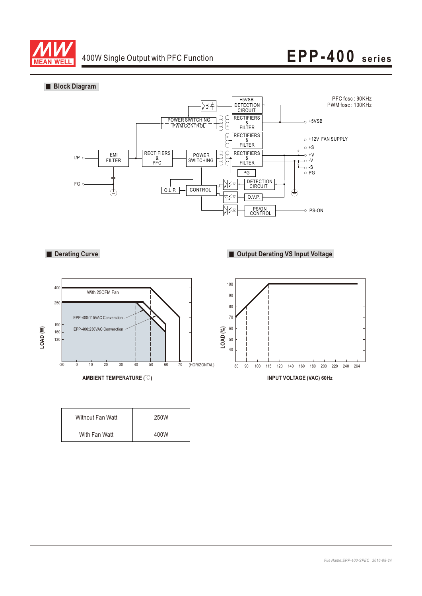

# 400W Single Output with PFC Function **EPP-400** series